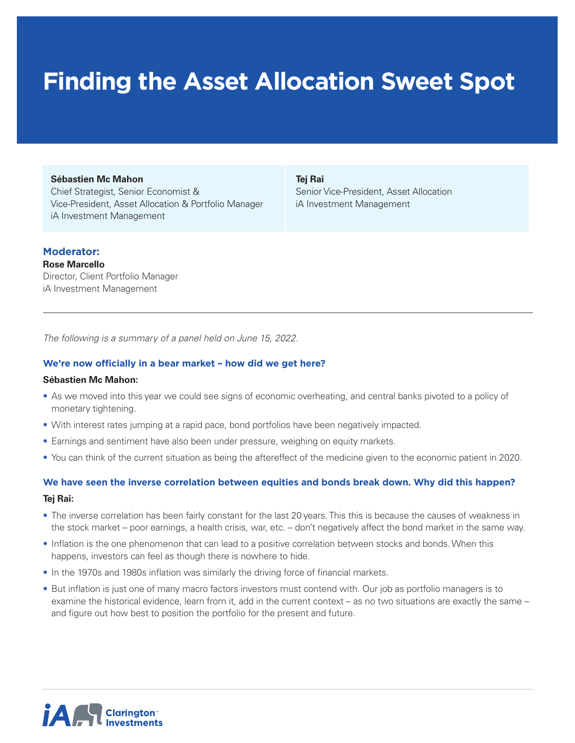# **Finding the Asset Allocation Sweet Spot**

#### **Sébastien Mc Mahon**

Chief Strategist, Senior Economist & Vice-President, Asset Allocation & Portfolio Manager iA Investment Management

**Tej Rai**

Senior Vice-President, Asset Allocation iA Investment Management

# **Moderator:**

**Rose Marcello** Director, Client Portfolio Manager iA Investment Management

*The following is a summary of a panel held on June 15, 2022.* 

# **We're now officially in a bear market – how did we get here?**

#### **Sébastien Mc Mahon:**

- As we moved into this year we could see signs of economic overheating, and central banks pivoted to a policy of monetary tightening.
- With interest rates jumping at a rapid pace, bond portfolios have been negatively impacted.
- Earnings and sentiment have also been under pressure, weighing on equity markets.
- You can think of the current situation as being the aftereffect of the medicine given to the economic patient in 2020.

# **We have seen the inverse correlation between equities and bonds break down. Why did this happen?**

#### **Tej Rai:**

- The inverse correlation has been fairly constant for the last 20 years. This this is because the causes of weakness in the stock market – poor earnings, a health crisis, war, etc. – don't negatively affect the bond market in the same way.
- Inflation is the one phenomenon that can lead to a positive correlation between stocks and bonds. When this happens, investors can feel as though there is nowhere to hide.
- In the 1970s and 1980s inflation was similarly the driving force of financial markets.
- But inflation is just one of many macro factors investors must contend with. Our job as portfolio managers is to examine the historical evidence, learn from it, add in the current context – as no two situations are exactly the same – and figure out how best to position the portfolio for the present and future.

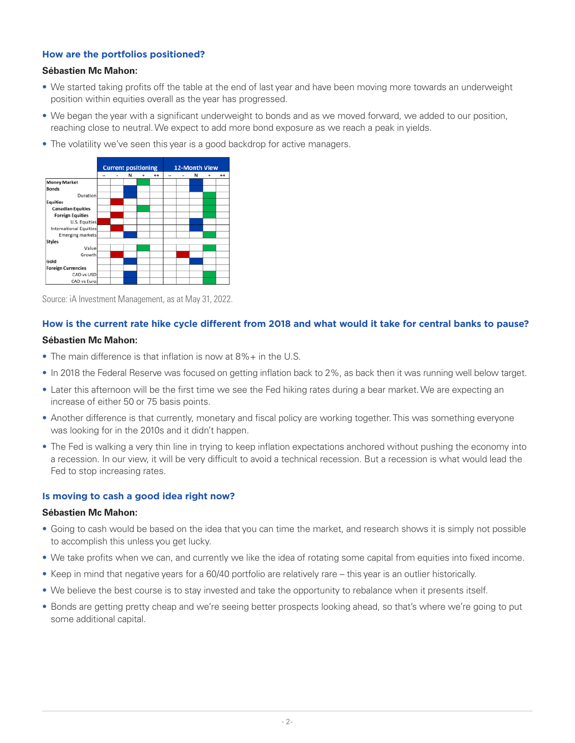# **How are the portfolios positioned?**

#### **Sébastien Mc Mahon:**

- We started taking profits off the table at the end of last year and have been moving more towards an underweight position within equities overall as the year has progressed.
- We began the year with a significant underweight to bonds and as we moved forward, we added to our position, reaching close to neutral. We expect to add more bond exposure as we reach a peak in yields.
- The volatility we've seen this year is a good backdrop for active managers.



Source: iA Investment Management, as at May 31, 2022.

# **How is the current rate hike cycle different from 2018 and what would it take for central banks to pause?**

# **Sébastien Mc Mahon:**

- The main difference is that inflation is now at 8%+ in the U.S.
- In 2018 the Federal Reserve was focused on getting inflation back to 2%, as back then it was running well below target.
- Later this afternoon will be the first time we see the Fed hiking rates during a bear market. We are expecting an increase of either 50 or 75 basis points.
- Another difference is that currently, monetary and fiscal policy are working together. This was something everyone was looking for in the 2010s and it didn't happen.
- The Fed is walking a very thin line in trying to keep inflation expectations anchored without pushing the economy into a recession. In our view, it will be very difficult to avoid a technical recession. But a recession is what would lead the Fed to stop increasing rates.

# **Is moving to cash a good idea right now?**

#### **Sébastien Mc Mahon:**

- Going to cash would be based on the idea that you can time the market, and research shows it is simply not possible to accomplish this unless you get lucky.
- We take profits when we can, and currently we like the idea of rotating some capital from equities into fixed income.
- Keep in mind that negative years for a 60/40 portfolio are relatively rare this year is an outlier historically.
- We believe the best course is to stay invested and take the opportunity to rebalance when it presents itself.
- Bonds are getting pretty cheap and we're seeing better prospects looking ahead, so that's where we're going to put some additional capital.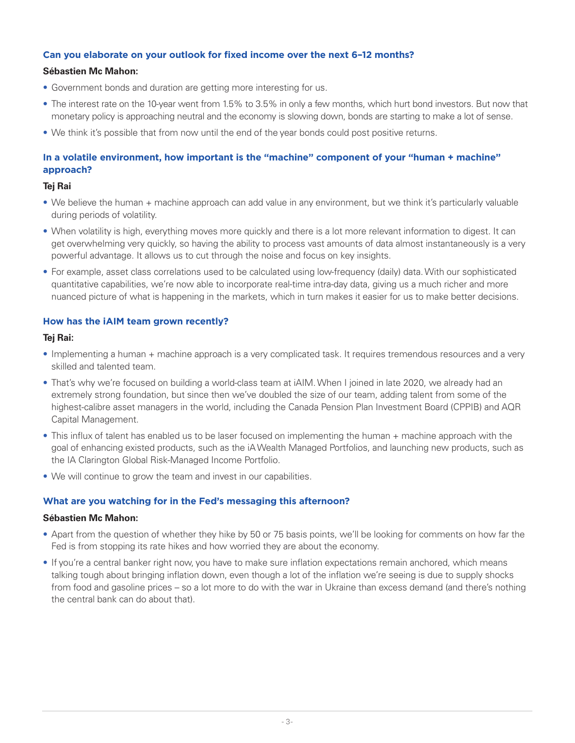# **Can you elaborate on your outlook for fixed income over the next 6–12 months?**

#### **Sébastien Mc Mahon:**

- Government bonds and duration are getting more interesting for us.
- The interest rate on the 10-year went from 1.5% to 3.5% in only a few months, which hurt bond investors. But now that monetary policy is approaching neutral and the economy is slowing down, bonds are starting to make a lot of sense.
- We think it's possible that from now until the end of the year bonds could post positive returns.

# **In a volatile environment, how important is the "machine" component of your "human + machine" approach?**

#### **Tej Rai**

- We believe the human + machine approach can add value in any environment, but we think it's particularly valuable during periods of volatility.
- When volatility is high, everything moves more quickly and there is a lot more relevant information to digest. It can get overwhelming very quickly, so having the ability to process vast amounts of data almost instantaneously is a very powerful advantage. It allows us to cut through the noise and focus on key insights.
- For example, asset class correlations used to be calculated using low-frequency (daily) data. With our sophisticated quantitative capabilities, we're now able to incorporate real-time intra-day data, giving us a much richer and more nuanced picture of what is happening in the markets, which in turn makes it easier for us to make better decisions.

# **How has the iAIM team grown recently?**

#### **Tej Rai:**

- Implementing a human + machine approach is a very complicated task. It requires tremendous resources and a very skilled and talented team.
- That's why we're focused on building a world-class team at iAIM. When I joined in late 2020, we already had an extremely strong foundation, but since then we've doubled the size of our team, adding talent from some of the highest-calibre asset managers in the world, including the Canada Pension Plan Investment Board (CPPIB) and AQR Capital Management.
- This influx of talent has enabled us to be laser focused on implementing the human + machine approach with the goal of enhancing existed products, such as the iA Wealth Managed Portfolios, and launching new products, such as the IA Clarington Global Risk-Managed Income Portfolio.
- We will continue to grow the team and invest in our capabilities.

# **What are you watching for in the Fed's messaging this afternoon?**

#### **Sébastien Mc Mahon:**

- Apart from the question of whether they hike by 50 or 75 basis points, we'll be looking for comments on how far the Fed is from stopping its rate hikes and how worried they are about the economy.
- If you're a central banker right now, you have to make sure inflation expectations remain anchored, which means talking tough about bringing inflation down, even though a lot of the inflation we're seeing is due to supply shocks from food and gasoline prices – so a lot more to do with the war in Ukraine than excess demand (and there's nothing the central bank can do about that).